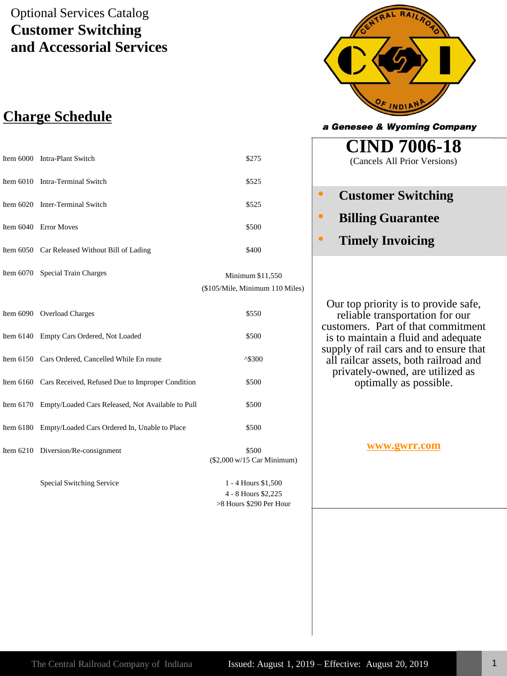## Optional Services Catalog **Customer Switching and Accessorial Services**

## **Charge Schedule**

| Item 6000 Intra-Plant Switch                  | \$275 |
|-----------------------------------------------|-------|
| Item 6010 Intra-Terminal Switch               | \$525 |
| Item 6020 Inter-Terminal Switch               | \$525 |
| Item 6040 Error Moves                         | \$500 |
| Item 6050 Car Released Without Bill of Lading | \$400 |

Item 6070 Special Train Charges Minimum \$11,550

(\$105/Mile, Minimum 110 Miles)

| Item 6090 Overload Charges                                  | \$550                                                                   |
|-------------------------------------------------------------|-------------------------------------------------------------------------|
| Item 6140 Empty Cars Ordered, Not Loaded                    | \$500                                                                   |
| Item 6150 Cars Ordered, Cancelled While En route            | $^{\text{A}}\$300$                                                      |
| Item 6160 Cars Received, Refused Due to Improper Condition  | \$500                                                                   |
| Item 6170 Empty/Loaded Cars Released, Not Available to Pull | \$500                                                                   |
| Item 6180 Empty/Loaded Cars Ordered In, Unable to Place     | \$500                                                                   |
| Item 6210 Diversion/Re-consignment                          | \$500<br>$($2,000 \text{ w}/15 \text{ Car Minimum})$                    |
| Special Switching Service                                   | 1 - 4 Hours \$1,500<br>$\Lambda$ O H <sub>orma</sub> C <sub>1</sub> 005 |

4 - 8 Hours \$2,225 >8 Hours \$290 Per Hour



a Genesee & Wyoming Company

**CIND 7006-18** (Cancels All Prior Versions)

- **Customer Switching**
- **Billing Guarantee**
- **Timely Invoicing**

Our top priority is to provide safe, reliable transportation for our customers. Part of that commitment is to maintain a fluid and adequate supply of rail cars and to ensure that all railcar assets, both railroad and privately-owned, are utilized as optimally as possible.

#### **[www.gwrr.com](http://www.gwrr.com/)**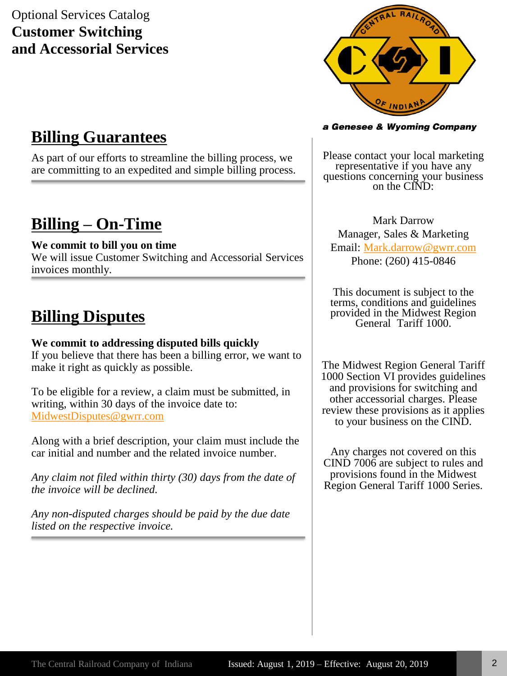## Optional Services Catalog **Customer Switching and Accessorial Services**



## **Billing Guarantees**

As part of our efforts to streamline the billing process, we are committing to an expedited and simple billing process.

# **Billing – On-Time**

#### **We commit to bill you on time**

We will issue Customer Switching and Accessorial Services invoices monthly.

# **Billing Disputes**

#### **We commit to addressing disputed bills quickly**

If you believe that there has been a billing error, we want to make it right as quickly as possible.

To be eligible for a review, a claim must be submitted, in writing, within 30 days of the invoice date to: [MidwestDisputes@gwrr.com](mailto:MidwestDisputes@gwrr.com)

Along with a brief description, your claim must include the car initial and number and the related invoice number.

*Any claim not filed within thirty (30) days from the date of the invoice will be declined.*

*Any non-disputed charges should be paid by the due date listed on the respective invoice.* 

#### a Genesee & Wyoming Company

Please contact your local marketing representative if you have any questions concerning your business on the CIND:

Mark Darrow Manager, Sales & Marketing Email: [Mark.darrow@gwrr.com](mailto:Mark.darrow@gwrr.com) Phone: (260) 415-0846

This document is subject to the terms, conditions and guidelines provided in the Midwest Region General Tariff 1000.

The Midwest Region General Tariff 1000 Section VI provides guidelines and provisions for switching and other accessorial charges. Please review these provisions as it applies to your business on the CIND.

Any charges not covered on this CIND 7006 are subject to rules and provisions found in the Midwest Region General Tariff 1000 Series.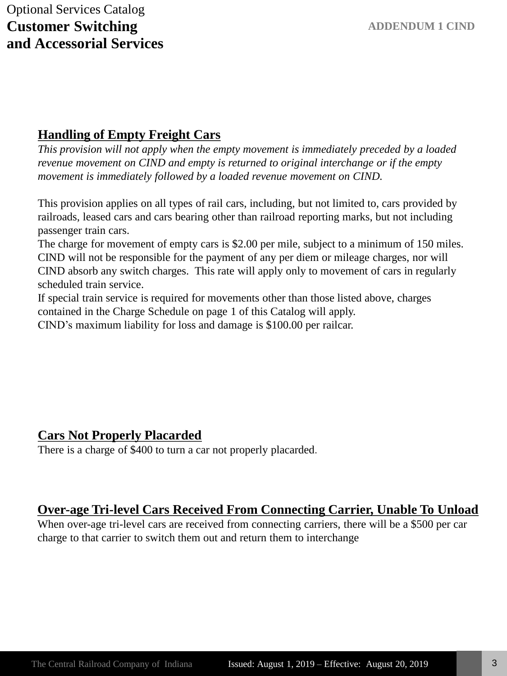### **Handling of Empty Freight Cars**

*This provision will not apply when the empty movement is immediately preceded by a loaded revenue movement on CIND and empty is returned to original interchange or if the empty movement is immediately followed by a loaded revenue movement on CIND.*

This provision applies on all types of rail cars, including, but not limited to, cars provided by railroads, leased cars and cars bearing other than railroad reporting marks, but not including passenger train cars.

The charge for movement of empty cars is \$2.00 per mile, subject to a minimum of 150 miles. CIND will not be responsible for the payment of any per diem or mileage charges, nor will CIND absorb any switch charges. This rate will apply only to movement of cars in regularly scheduled train service.

If special train service is required for movements other than those listed above, charges contained in the Charge Schedule on page 1 of this Catalog will apply. CIND's maximum liability for loss and damage is \$100.00 per railcar.

### **Cars Not Properly Placarded**

There is a charge of \$400 to turn a car not properly placarded.

### **Over-age Tri-level Cars Received From Connecting Carrier, Unable To Unload**

When over-age tri-level cars are received from connecting carriers, there will be a \$500 per car charge to that carrier to switch them out and return them to interchange